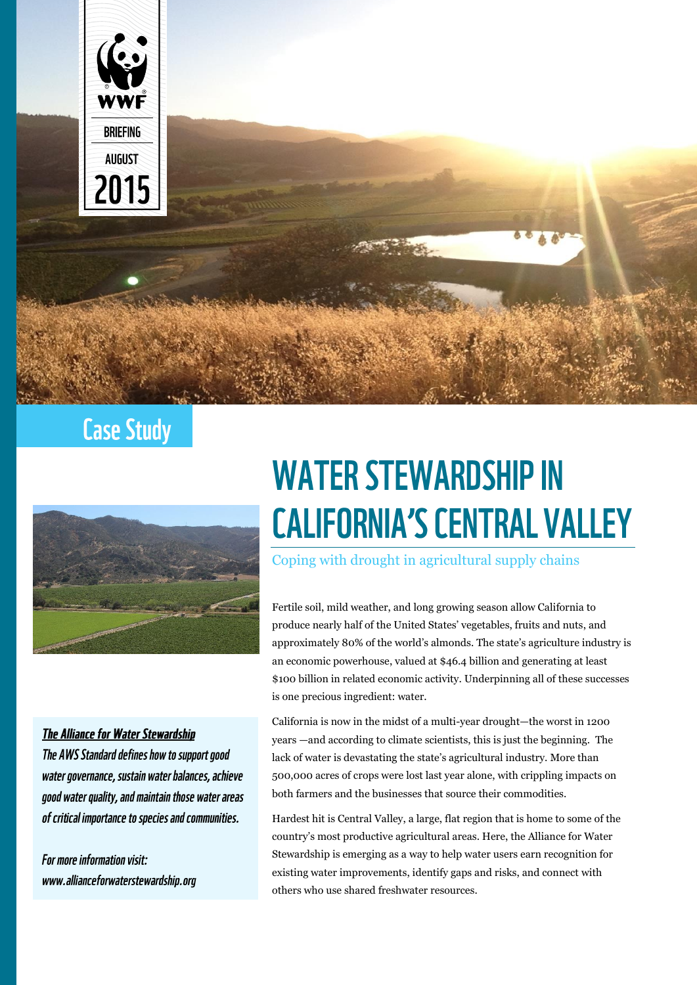

## **Case Study**



### **The Alliance for Water Stewardship**

The AWS Standard defines how to support good water governance, sustain water balances, achieve good water quality, and maintain those water areas of critical importance to species and communities.

For more information visit: www.allianceforwaterstewardship.org

# **WATER STEWARDSHIP IN CALIFORNIA'S CENTRAL VALLEY**

Coping with drought in agricultural supply chains

Fertile soil, mild weather, and long growing season allow California to produce nearly half of the United States' vegetables, fruits and nuts, and approximately 80% of the world's almonds. The state's agriculture industry is an economic powerhouse, valued at \$46.4 billion and generating at least \$100 billion in related economic activity. Underpinning all of these successes is one precious ingredient: water.

California is now in the midst of a multi-year drought—the worst in 1200 years —and according to climate scientists, this is just the beginning. The lack of water is devastating the state's agricultural industry. More than 500,000 acres of crops were lost last year alone, with crippling impacts on both farmers and the businesses that source their commodities.

Hardest hit is Central Valley, a large, flat region that is home to some of the country's most productive agricultural areas. Here, the Alliance for Water Stewardship is emerging as a way to help water users earn recognition for existing water improvements, identify gaps and risks, and connect with others who use shared freshwater resources.